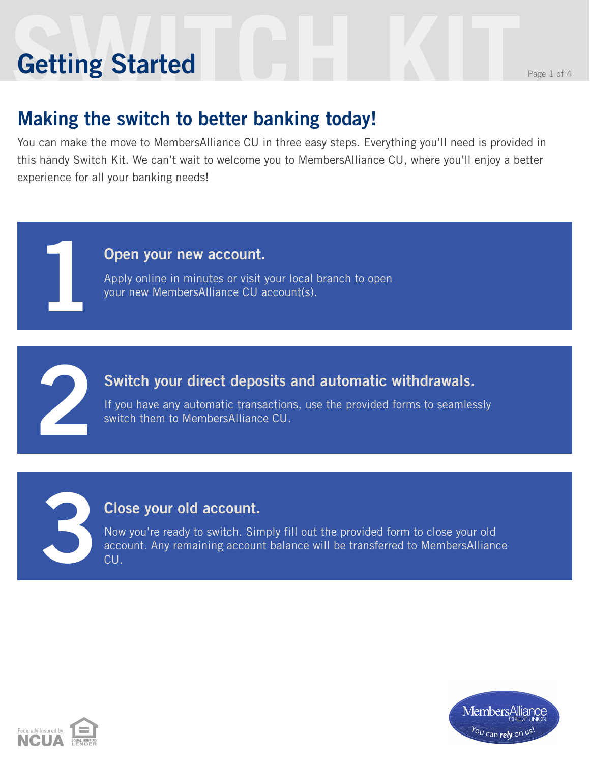# **Setting Started** Reserves the Page 1 of 4 **Getting Started**

**1**

**2**

**3**

### **Making the switch to better banking today!**

You can make the move to MembersAlliance CU in three easy steps. Everything you'll need is provided in this handy Switch Kit. We can't wait to welcome you to MembersAlliance CU, where you'll enjoy a better experience for all your banking needs!

#### **Open your new account.**

Apply online in minutes or visit your local branch to open your new MembersAlliance CU account(s).

#### **Switch your direct deposits and automatic withdrawals.**

If you have any automatic transactions, use the provided forms to seamlessly switch them to MembersAlliance CU.

#### **Close your old account.**

Now you're ready to switch. Simply fill out the provided form to close your old account. Any remaining account balance will be transferred to MembersAlliance CU.



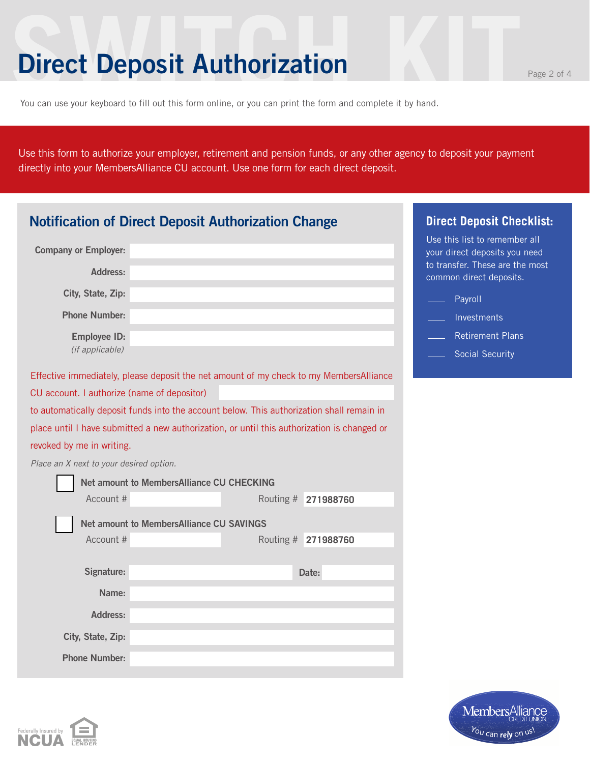### **Direct Deposit Authorization**

You can use your keyboard to fill out this form online, or you can print the form and complete it by hand.

Use this form to authorize your employer, retirement and pension funds, or any other agency to deposit your payment directly into your MembersAlliance CU account. Use one form for each direct deposit.

| <b>Notification of Direct Deposit Authorization Change</b>                                  | <b>Direct Deposit Checklist:</b>                |                     |                                                                                                   |
|---------------------------------------------------------------------------------------------|-------------------------------------------------|---------------------|---------------------------------------------------------------------------------------------------|
| <b>Company or Employer:</b>                                                                 |                                                 |                     | Use this list to remember all<br>your direct deposits you need<br>to transfer. These are the most |
| <b>Address:</b>                                                                             |                                                 |                     | common direct deposits.                                                                           |
| City, State, Zip:                                                                           |                                                 |                     | Payroll                                                                                           |
| <b>Phone Number:</b>                                                                        |                                                 |                     | Investments                                                                                       |
| <b>Employee ID:</b>                                                                         |                                                 |                     | <b>Retirement Plans</b>                                                                           |
| (if applicable)                                                                             |                                                 |                     | <b>Social Security</b>                                                                            |
| Effective immediately, please deposit the net amount of my check to my MembersAlliance      |                                                 |                     |                                                                                                   |
| CU account. I authorize (name of depositor)                                                 |                                                 |                     |                                                                                                   |
| to automatically deposit funds into the account below. This authorization shall remain in   |                                                 |                     |                                                                                                   |
| place until I have submitted a new authorization, or until this authorization is changed or |                                                 |                     |                                                                                                   |
| revoked by me in writing.                                                                   |                                                 |                     |                                                                                                   |
| Place an X next to your desired option.                                                     |                                                 |                     |                                                                                                   |
|                                                                                             | Net amount to MembersAlliance CU CHECKING       |                     |                                                                                                   |
| Account #                                                                                   |                                                 | Routing # 271988760 |                                                                                                   |
|                                                                                             | <b>Net amount to MembersAlliance CU SAVINGS</b> |                     |                                                                                                   |
| Account #                                                                                   |                                                 | Routing # 271988760 |                                                                                                   |
|                                                                                             |                                                 |                     |                                                                                                   |
| Signature:                                                                                  |                                                 | Date:               |                                                                                                   |
| Name:                                                                                       |                                                 |                     |                                                                                                   |
| Address:                                                                                    |                                                 |                     |                                                                                                   |
| City, State, Zip:                                                                           |                                                 |                     |                                                                                                   |
| <b>Phone Number:</b>                                                                        |                                                 |                     |                                                                                                   |

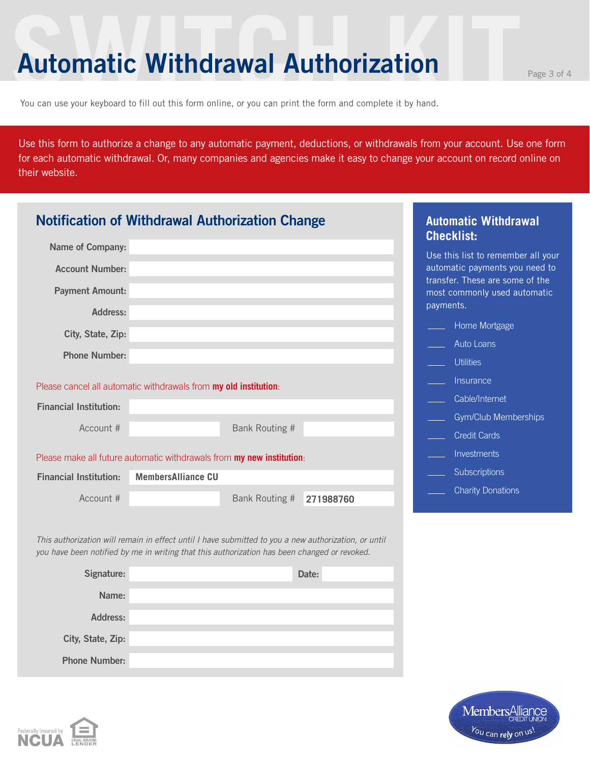### **Automatic Withdrawal Authorization**

You can use your keyboard to fill out this form online, or you can print the form and complete it by hand.

**City, State, Zip:**

**Phone Number:**

Use this form to authorize a change to any automatic payment, deductions, or withdrawals from your account. Use one form for each automatic withdrawal. Or, many companies and agencies make it easy to change your account on record online on their website.

| <b>Notification of Withdrawal Authorization Change</b>                                       |                                                                                                      |                |           |           | <b>Automatic Withdrawal</b><br><b>Checklist:</b>                |
|----------------------------------------------------------------------------------------------|------------------------------------------------------------------------------------------------------|----------------|-----------|-----------|-----------------------------------------------------------------|
| Name of Company:                                                                             |                                                                                                      |                |           |           | Use this list to remember all your                              |
| <b>Account Number:</b>                                                                       |                                                                                                      |                |           |           | automatic payments you need to                                  |
| <b>Payment Amount:</b>                                                                       |                                                                                                      |                |           | payments. | transfer. These are some of the<br>most commonly used automatic |
| <b>Address:</b>                                                                              |                                                                                                      |                |           |           | Home Mortgage                                                   |
| City, State, Zip:                                                                            |                                                                                                      |                |           |           | Auto Loans                                                      |
| <b>Phone Number:</b>                                                                         |                                                                                                      |                |           |           | <b>Utilities</b>                                                |
|                                                                                              |                                                                                                      |                |           |           | Insurance                                                       |
| Please cancel all automatic withdrawals from my old institution:                             |                                                                                                      |                |           |           | Cable/Internet                                                  |
| <b>Financial Institution:</b>                                                                |                                                                                                      |                |           |           | <b>Gym/Club Memberships</b>                                     |
| Account #                                                                                    |                                                                                                      | Bank Routing # |           |           | <b>Credit Cards</b>                                             |
|                                                                                              | Please make all future automatic withdrawals from my new institution:                                |                |           |           | Investments                                                     |
| <b>Financial Institution:</b>                                                                | <b>MembersAlliance CU</b>                                                                            |                |           |           | Subscriptions                                                   |
| Account #                                                                                    |                                                                                                      | Bank Routing # | 271988760 |           | <b>Charity Donations</b>                                        |
| you have been notified by me in writing that this authorization has been changed or revoked. | This authorization will remain in effect until I have submitted to you a new authorization, or until |                |           |           |                                                                 |
| Signature:                                                                                   |                                                                                                      |                | Date:     |           |                                                                 |
| Name:                                                                                        |                                                                                                      |                |           |           |                                                                 |
| <b>Address:</b>                                                                              |                                                                                                      |                |           |           |                                                                 |

Members Alliand<br>*You can rely on usl.*